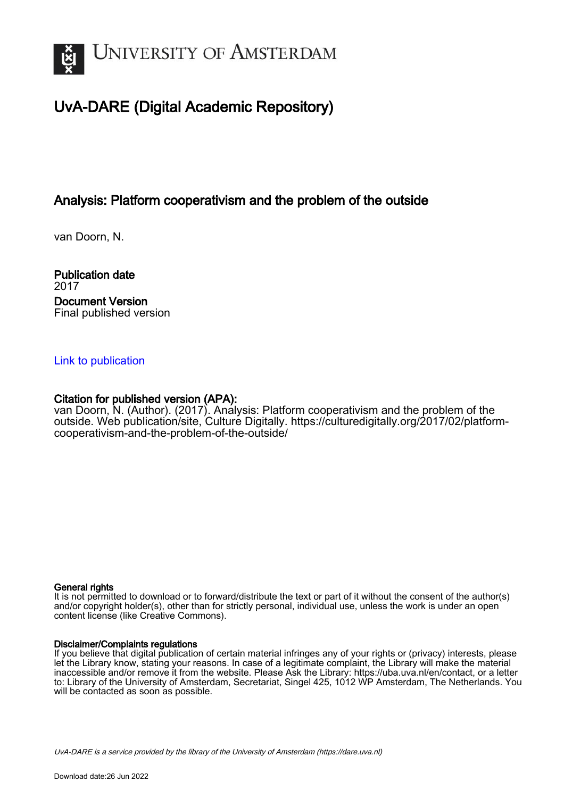

# UvA-DARE (Digital Academic Repository)

## Analysis: Platform cooperativism and the problem of the outside

van Doorn, N.

Publication date 2017 Document Version Final published version

### [Link to publication](https://dare.uva.nl/personal/pure/en/publications/analysis-platform-cooperativism-and-the-problem-of-the-outside(612a410f-24d7-4054-ab70-224ccf655fb9).html)

## Citation for published version (APA):

van Doorn, N. (Author). (2017). Analysis: Platform cooperativism and the problem of the outside. Web publication/site, Culture Digitally. [https://culturedigitally.org/2017/02/platform](https://culturedigitally.org/2017/02/platform-cooperativism-and-the-problem-of-the-outside/)[cooperativism-and-the-problem-of-the-outside/](https://culturedigitally.org/2017/02/platform-cooperativism-and-the-problem-of-the-outside/)

#### General rights

It is not permitted to download or to forward/distribute the text or part of it without the consent of the author(s) and/or copyright holder(s), other than for strictly personal, individual use, unless the work is under an open content license (like Creative Commons).

#### Disclaimer/Complaints regulations

If you believe that digital publication of certain material infringes any of your rights or (privacy) interests, please let the Library know, stating your reasons. In case of a legitimate complaint, the Library will make the material inaccessible and/or remove it from the website. Please Ask the Library: https://uba.uva.nl/en/contact, or a letter to: Library of the University of Amsterdam, Secretariat, Singel 425, 1012 WP Amsterdam, The Netherlands. You will be contacted as soon as possible.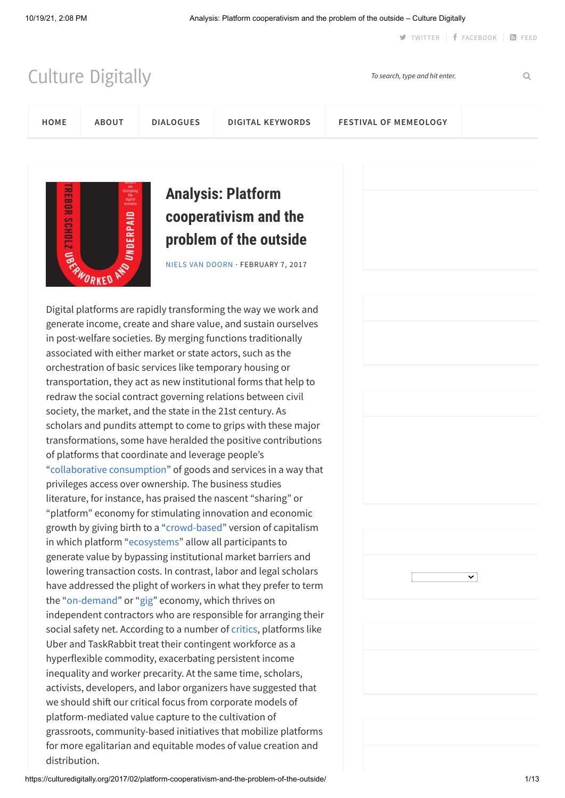**J** [TWITTER](https://twitter.com/culturedig) | **f** [FACEBOOK](https://www.facebook.com/culturedigitally) | 8 [FEED](http://feeds.feedburner.com/nsfworkshop)

[Culture Digitally](https://culturedigitally.org/) *To search, type and hit enter.*

**[HOME](https://culturedigitally.org/) [ABOUT](https://culturedigitally.org/about/) [DIALOGUES](https://culturedigitally.org/dialogues/) [DIGITAL KEYWORDS](https://culturedigitally.org/digital-keywords/) [FESTIVAL OF MEMEOLOGY](https://culturedigitally.org/festival-of-memeology/)**



# **Analysis: Platform cooperativism and the problem of the outside**

[NIELS VAN DOORN](https://culturedigitally.org/author/niels-van-doorn/) · FEBRUARY 7, 2017

Digital platforms are rapidly transforming the way we work and generate income, create and share value, and sustain ourselves in post-welfare societies. By merging functions traditionally associated with either market or state actors, such as the orchestration of basic services like temporary housing or transportation, they act as new institutional forms that help to redraw the social contract governing relations between civil society, the market, and the state in the 21st century. As scholars and pundits attempt to come to grips with these major transformations, some have heralded the positive contributions of platforms that coordinate and leverage people's ["collaborative consumption](http://www.collaborativeconsumption.com/)" of goods and services in a way that privileges access over ownership. The business studies literature, for instance, has praised the nascent "sharing" or "platform" economy for stimulating innovation and economic growth by giving birth to a "[crowd-based"](https://mitpress.mit.edu/sharing-economy) version of capitalism in which platform "[ecosystems"](https://hbr.org/2016/04/pipelines-platforms-and-the-new-rules-of-strategy) allow all participants to generate value by bypassing institutional market barriers and lowering transaction costs. In contrast, labor and legal scholars have addressed the plight of workers in what they prefer to term the "[on-demand](http://rooseveltinstitute.org/wp-content/uploads/2016/09/Rahman-New-Social-Contract.pdf)" or ["gig](https://ecampus.itcilo.org/pluginfile.php/25267/mod_page/content/35/Conditions%20of%20Work%20and%20Employment%20Series%20No.%2071.pdf)" economy, which thrives on independent contractors who are responsible for arranging their social safety net. According to a number of [critics](http://us.macmillan.com/books/9781250071583), platforms like Uber and TaskRabbit treat their contingent workforce as a hyperflexible commodity, exacerbating persistent income inequality and worker precarity. At the same time, scholars, activists, developers, and labor organizers have suggested that we should shift our critical focus from corporate models of platform-mediated value capture to the cultivation of grassroots, community-based initiatives that mobilize platforms for more egalitarian and equitable modes of value creation and distribution.



 $\overline{\mathbf{v}}$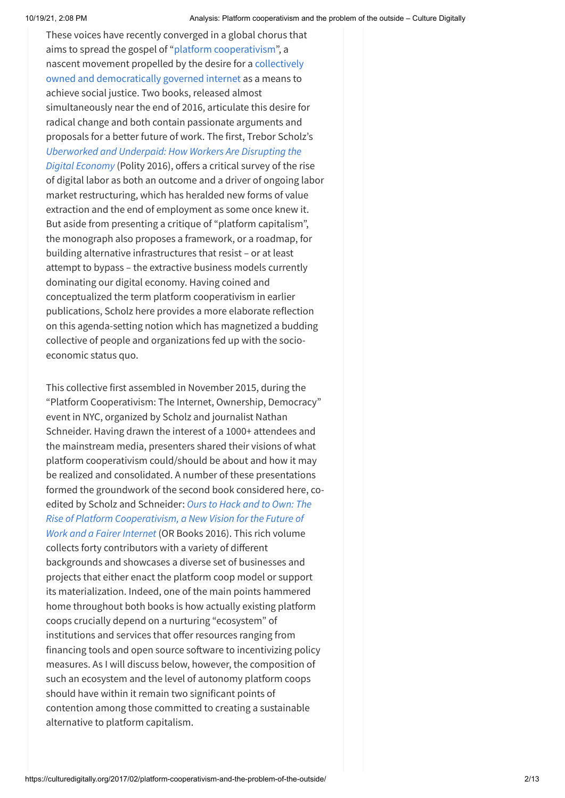These voices have recently converged in a global chorus that aims to spread the gospel of "[platform cooperativism"](http://platformcoop.net/), a [nascent movement propelled by the desire for a collectively](https://ioo.coop/) owned and democratically governed internet as a means to achieve social justice. Two books, released almost simultaneously near the end of 2016, articulate this desire for radical change and both contain passionate arguments and proposals for a better future of work. The first, Trebor Scholz's *[Uberworked and Underpaid: How Workers Are Disrupting the](http://www.polity.co.uk/book.asp?ref=9780745653563) Digital Economy* (Polity 2016), offers a critical survey of the rise of digital labor as both an outcome and a driver of ongoing labor market restructuring, which has heralded new forms of value extraction and the end of employment as some once knew it. But aside from presenting a critique of "platform capitalism", the monograph also proposes a framework, or a roadmap, for building alternative infrastructures that resist – or at least attempt to bypass – the extractive business models currently dominating our digital economy. Having coined and conceptualized the term platform cooperativism in earlier publications, Scholz here provides a more elaborate reflection on this agenda-setting notion which has magnetized a budding collective of people and organizations fed up with the socioeconomic status quo.

This collective first assembled in November 2015, during the "Platform Cooperativism: The Internet, Ownership, Democracy" event in NYC, organized by Scholz and journalist Nathan Schneider. Having drawn the interest of a 1000+ attendees and the mainstream media, presenters shared their visions of what platform cooperativism could/should be about and how it may be realized and consolidated. A number of these presentations formed the groundwork of the second book considered here, coedited by Scholz and Schneider: *Ours to Hack and to Own: The [Rise of Platform Cooperativism, a New Vision for the Future of](http://platformcoop.net/book) Work and a Fairer Internet* (OR Books 2016). This rich volume collects forty contributors with a variety of different backgrounds and showcases a diverse set of businesses and projects that either enact the platform coop model or support its materialization. Indeed, one of the main points hammered home throughout both books is how actually existing platform coops crucially depend on a nurturing "ecosystem" of institutions and services that offer resources ranging from financing tools and open source software to incentivizing policy measures. As I will discuss below, however, the composition of such an ecosystem and the level of autonomy platform coops should have within it remain two significant points of contention among those committed to creating a sustainable alternative to platform capitalism.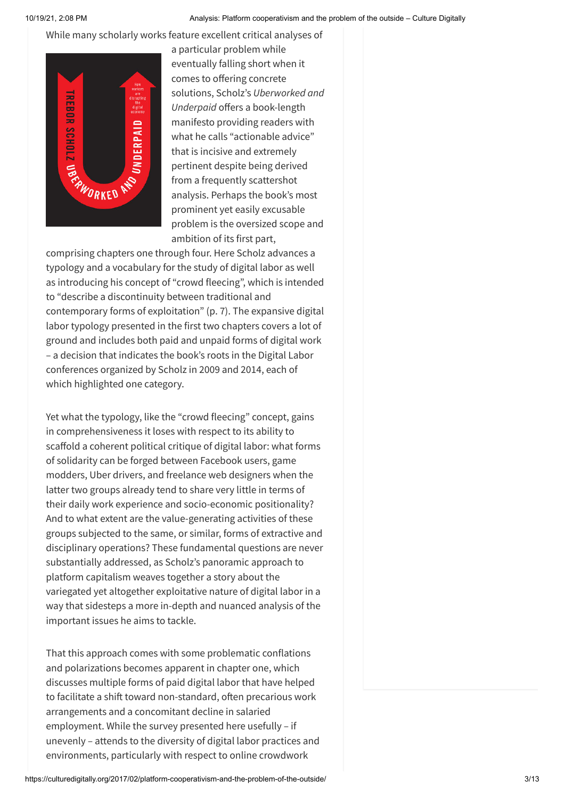While many scholarly works feature excellent critical analyses of



a particular problem while eventually falling short when it comes to offering concrete solutions, Scholz's *Uberworked and Underpaid* offers a book-length manifesto providing readers with what he calls "actionable advice" that is incisive and extremely pertinent despite being derived from a frequently scattershot analysis. Perhaps the book's most prominent yet easily excusable problem is the oversized scope and ambition of its first part,

comprising chapters one through four. Here Scholz advances a typology and a vocabulary for the study of digital labor as well as introducing his concept of "crowd fleecing", which is intended to "describe a discontinuity between traditional and contemporary forms of exploitation" (p. 7). The expansive digital labor typology presented in the first two chapters covers a lot of ground and includes both paid and unpaid forms of digital work – a decision that indicates the book's roots in the Digital Labor conferences organized by Scholz in 2009 and 2014, each of which highlighted one category.

Yet what the typology, like the "crowd fleecing" concept, gains in comprehensiveness it loses with respect to its ability to scaffold a coherent political critique of digital labor: what forms of solidarity can be forged between Facebook users, game modders, Uber drivers, and freelance web designers when the latter two groups already tend to share very little in terms of their daily work experience and socio-economic positionality? And to what extent are the value-generating activities of these groups subjected to the same, or similar, forms of extractive and disciplinary operations? These fundamental questions are never substantially addressed, as Scholz's panoramic approach to platform capitalism weaves together a story about the variegated yet altogether exploitative nature of digital labor in a way that sidesteps a more in-depth and nuanced analysis of the important issues he aims to tackle.

That this approach comes with some problematic conflations and polarizations becomes apparent in chapter one, which discusses multiple forms of paid digital labor that have helped to facilitate a shift toward non-standard, often precarious work arrangements and a concomitant decline in salaried employment. While the survey presented here usefully – if unevenly – attends to the diversity of digital labor practices and environments, particularly with respect to online crowdwork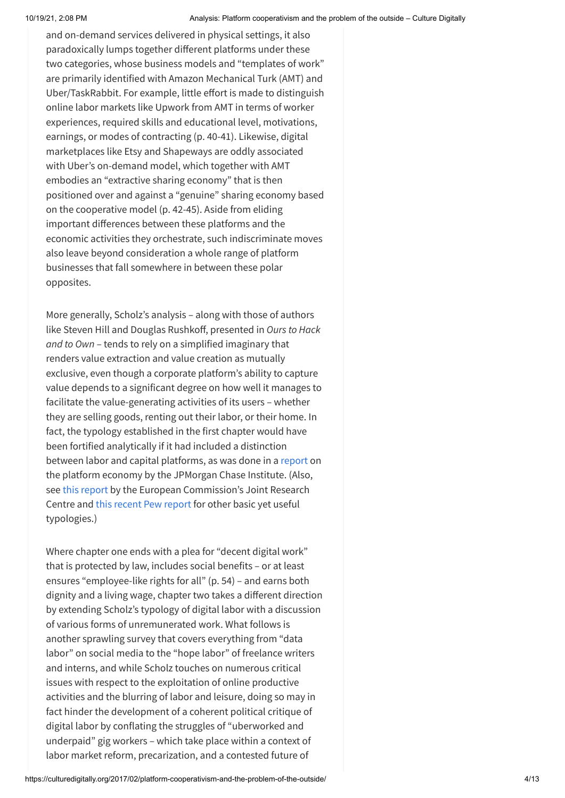and on-demand services delivered in physical settings, it also paradoxically lumps together different platforms under these two categories, whose business models and "templates of work" are primarily identified with Amazon Mechanical Turk (AMT) and Uber/TaskRabbit. For example, little effort is made to distinguish online labor markets like Upwork from AMT in terms of worker experiences, required skills and educational level, motivations, earnings, or modes of contracting (p. 40-41). Likewise, digital marketplaces like Etsy and Shapeways are oddly associated with Uber's on-demand model, which together with AMT embodies an "extractive sharing economy" that is then positioned over and against a "genuine" sharing economy based on the cooperative model (p. 42-45). Aside from eliding important differences between these platforms and the economic activities they orchestrate, such indiscriminate moves also leave beyond consideration a whole range of platform businesses that fall somewhere in between these polar opposites.

More generally, Scholz's analysis – along with those of authors like Steven Hill and Douglas Rushkoff, presented in *Ours to Hack and to Own* – tends to rely on a simplified imaginary that renders value extraction and value creation as mutually exclusive, even though a corporate platform's ability to capture value depends to a significant degree on how well it manages to facilitate the value-generating activities of its users – whether they are selling goods, renting out their labor, or their home. In fact, the typology established in the first chapter would have been fortified analytically if it had included a distinction between labor and capital platforms, as was done in a [report](https://www.jpmorganchase.com/corporate/institute/document/jpmc-institute-volatility-2-report.pdf) on the platform economy by the JPMorgan Chase Institute. (Also, see [this report](http://publications.jrc.ec.europa.eu/repository/bitstream/JRC101279/jrc101279.pdf) by the European Commission's Joint Research Centre and [this recent Pew report](http://www.pewinternet.org/2016/11/17/gig-work-online-selling-and-home-sharing/) for other basic yet useful typologies.)

Where chapter one ends with a plea for "decent digital work" that is protected by law, includes social benefits – or at least ensures "employee-like rights for all" (p. 54) – and earns both dignity and a living wage, chapter two takes a different direction by extending Scholz's typology of digital labor with a discussion of various forms of unremunerated work. What follows is another sprawling survey that covers everything from "data labor" on social media to the "hope labor" of freelance writers and interns, and while Scholz touches on numerous critical issues with respect to the exploitation of online productive activities and the blurring of labor and leisure, doing so may in fact hinder the development of a coherent political critique of digital labor by conflating the struggles of "uberworked and underpaid" gig workers – which take place within a context of labor market reform, precarization, and a contested future of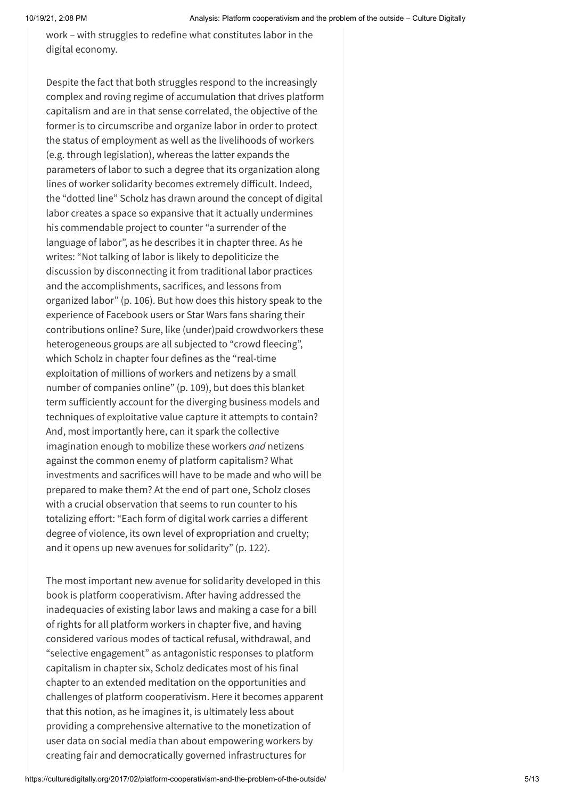work – with struggles to redefine what constitutes labor in the digital economy.

Despite the fact that both struggles respond to the increasingly complex and roving regime of accumulation that drives platform capitalism and are in that sense correlated, the objective of the former is to circumscribe and organize labor in order to protect the status of employment as well as the livelihoods of workers (e.g. through legislation), whereas the latter expands the parameters of labor to such a degree that its organization along lines of worker solidarity becomes extremely difficult. Indeed, the "dotted line" Scholz has drawn around the concept of digital labor creates a space so expansive that it actually undermines his commendable project to counter "a surrender of the language of labor", as he describes it in chapter three. As he writes: "Not talking of labor is likely to depoliticize the discussion by disconnecting it from traditional labor practices and the accomplishments, sacrifices, and lessons from organized labor" (p. 106). But how does this history speak to the experience of Facebook users or Star Wars fans sharing their contributions online? Sure, like (under)paid crowdworkers these heterogeneous groups are all subjected to "crowd fleecing", which Scholz in chapter four defines as the "real-time exploitation of millions of workers and netizens by a small number of companies online" (p. 109), but does this blanket term sufficiently account for the diverging business models and techniques of exploitative value capture it attempts to contain? And, most importantly here, can it spark the collective imagination enough to mobilize these workers *and* netizens against the common enemy of platform capitalism? What investments and sacrifices will have to be made and who will be prepared to make them? At the end of part one, Scholz closes with a crucial observation that seems to run counter to his totalizing effort: "Each form of digital work carries a different degree of violence, its own level of expropriation and cruelty; and it opens up new avenues for solidarity" (p. 122).

The most important new avenue for solidarity developed in this book is platform cooperativism. After having addressed the inadequacies of existing labor laws and making a case for a bill of rights for all platform workers in chapter five, and having considered various modes of tactical refusal, withdrawal, and "selective engagement" as antagonistic responses to platform capitalism in chapter six, Scholz dedicates most of his final chapter to an extended meditation on the opportunities and challenges of platform cooperativism. Here it becomes apparent that this notion, as he imagines it, is ultimately less about providing a comprehensive alternative to the monetization of user data on social media than about empowering workers by creating fair and democratically governed infrastructures for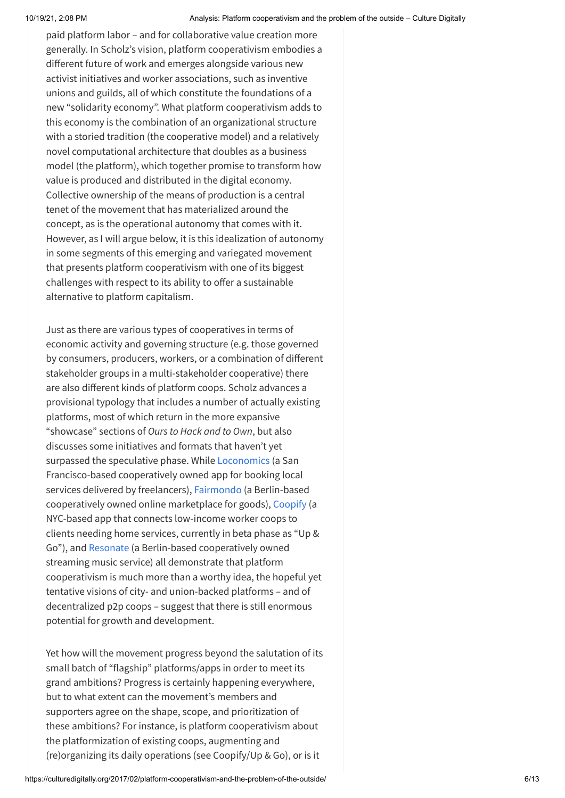paid platform labor – and for collaborative value creation more generally. In Scholz's vision, platform cooperativism embodies a different future of work and emerges alongside various new activist initiatives and worker associations, such as inventive unions and guilds, all of which constitute the foundations of a new "solidarity economy". What platform cooperativism adds to this economy is the combination of an organizational structure with a storied tradition (the cooperative model) and a relatively novel computational architecture that doubles as a business model (the platform), which together promise to transform how value is produced and distributed in the digital economy. Collective ownership of the means of production is a central tenet of the movement that has materialized around the concept, as is the operational autonomy that comes with it. However, as I will argue below, it is this idealization of autonomy in some segments of this emerging and variegated movement that presents platform cooperativism with one of its biggest challenges with respect to its ability to offer a sustainable alternative to platform capitalism.

Just as there are various types of cooperatives in terms of economic activity and governing structure (e.g. those governed by consumers, producers, workers, or a combination of different stakeholder groups in a multi-stakeholder cooperative) there are also different kinds of platform coops. Scholz advances a provisional typology that includes a number of actually existing platforms, most of which return in the more expansive "showcase" sections of *Ours to Hack and to Own*, but also discusses some initiatives and formats that haven't yet surpassed the speculative phase. While [Loconomics](https://loconomics.com/) (a San Francisco-based cooperatively owned app for booking local services delivered by freelancers), [Fairmondo](https://www.fairmondo.de/) (a Berlin-based cooperatively owned online marketplace for goods), [Coopify](http://www.upandgo.coop/) (a NYC-based app that connects low-income worker coops to clients needing home services, currently in beta phase as "Up & Go"), and [Resonate](https://resonate.is/) (a Berlin-based cooperatively owned streaming music service) all demonstrate that platform cooperativism is much more than a worthy idea, the hopeful yet tentative visions of city- and union-backed platforms – and of decentralized p2p coops – suggest that there is still enormous potential for growth and development.

Yet how will the movement progress beyond the salutation of its small batch of "flagship" platforms/apps in order to meet its grand ambitions? Progress is certainly happening everywhere, but to what extent can the movement's members and supporters agree on the shape, scope, and prioritization of these ambitions? For instance, is platform cooperativism about the platformization of existing coops, augmenting and (re)organizing its daily operations (see Coopify/Up & Go), or is it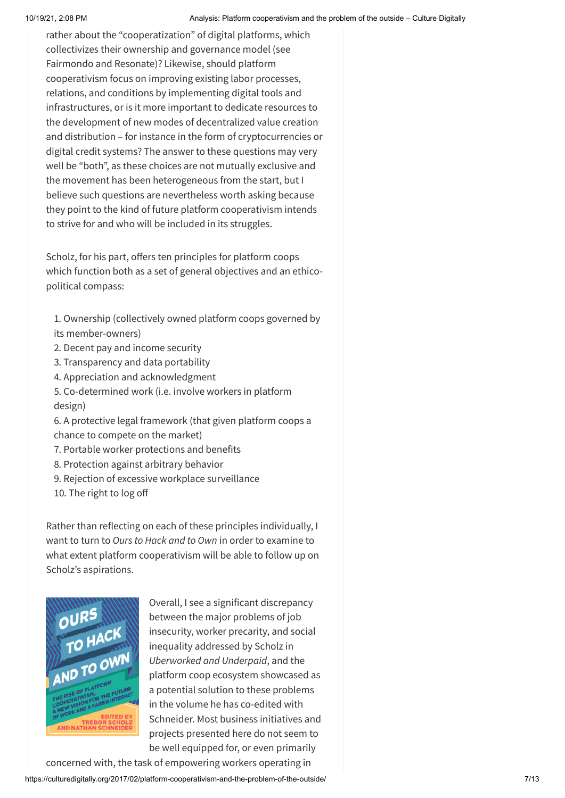rather about the "cooperatization" of digital platforms, which collectivizes their ownership and governance model (see Fairmondo and Resonate)? Likewise, should platform cooperativism focus on improving existing labor processes, relations, and conditions by implementing digital tools and infrastructures, or is it more important to dedicate resources to the development of new modes of decentralized value creation and distribution – for instance in the form of cryptocurrencies or digital credit systems? The answer to these questions may very well be "both", as these choices are not mutually exclusive and the movement has been heterogeneous from the start, but I believe such questions are nevertheless worth asking because they point to the kind of future platform cooperativism intends to strive for and who will be included in its struggles.

Scholz, for his part, offers ten principles for platform coops which function both as a set of general objectives and an ethicopolitical compass:

- 1. Ownership (collectively owned platform coops governed by its member-owners)
- 2. Decent pay and income security
- 3. Transparency and data portability
- 4. Appreciation and acknowledgment
- 5. Co-determined work (i.e. involve workers in platform design)
- 6. A protective legal framework (that given platform coops a chance to compete on the market)
- 7. Portable worker protections and benefits
- 8. Protection against arbitrary behavior
- 9. Rejection of excessive workplace surveillance
- 10. The right to log off

Rather than reflecting on each of these principles individually, I want to turn to *Ours to Hack and to Own* in order to examine to what extent platform cooperativism will be able to follow up on Scholz's aspirations.



Overall, I see a significant discrepancy between the major problems of job insecurity, worker precarity, and social inequality addressed by Scholz in *Uberworked and Underpaid*, and the platform coop ecosystem showcased as a potential solution to these problems in the volume he has co-edited with Schneider. Most business initiatives and projects presented here do not seem to be well equipped for, or even primarily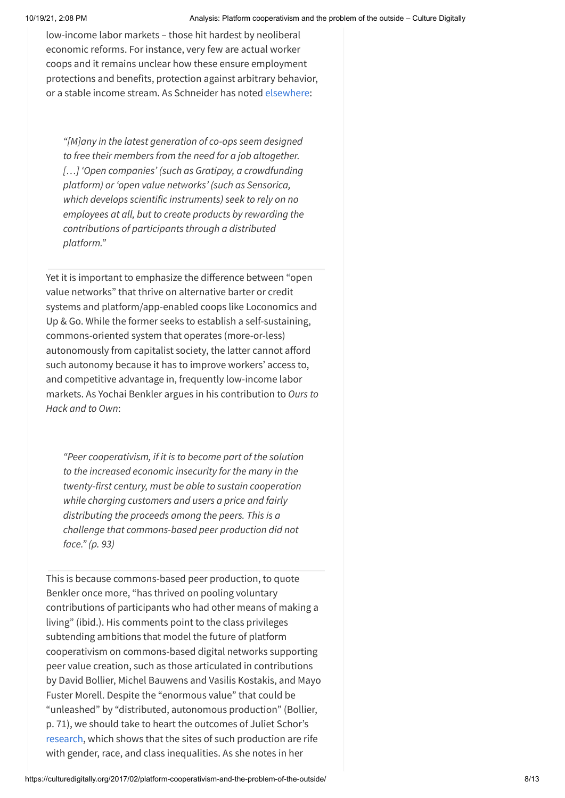low-income labor markets – those hit hardest by neoliberal economic reforms. For instance, very few are actual worker coops and it remains unclear how these ensure employment protections and benefits, protection against arbitrary behavior, or a stable income stream. As Schneider has noted [elsewhere](https://ioo.coop/2016/09/07/an-internet-of-ownership/):

*"[M]any in the latest generation of co-ops seem designed to free their members from the need for a job altogether. […] 'Open companies' (such as Gratipay, a crowdfunding platform) or 'open value networks' (such as Sensorica, which develops scientific instruments) seek to rely on no employees at all, but to create products by rewarding the contributions of participants through a distributed platform."*

Yet it is important to emphasize the difference between "open value networks" that thrive on alternative barter or credit systems and platform/app-enabled coops like Loconomics and Up & Go. While the former seeks to establish a self-sustaining, commons-oriented system that operates (more-or-less) autonomously from capitalist society, the latter cannot afford such autonomy because it has to improve workers' access to, and competitive advantage in, frequently low-income labor markets. As Yochai Benkler argues in his contribution to *Ours to Hack and to Own*:

*"Peer cooperativism, if it is to become part of the solution to the increased economic insecurity for the many in the twenty-first century, must be able to sustain cooperation while charging customers and users a price and fairly distributing the proceeds among the peers. This is a challenge that commons-based peer production did not face." (p. 93)*

This is because commons-based peer production, to quote Benkler once more, "has thrived on pooling voluntary contributions of participants who had other means of making a living" (ibid.). His comments point to the class privileges subtending ambitions that model the future of platform cooperativism on commons-based digital networks supporting peer value creation, such as those articulated in contributions by David Bollier, Michel Bauwens and Vasilis Kostakis, and Mayo Fuster Morell. Despite the "enormous value" that could be "unleashed" by "distributed, autonomous production" (Bollier, p. 71), we should take to heart the outcomes of Juliet Schor's [research,](https://www.bc.edu/content/dam/files/schools/cas_sites/sociology/pdf/ParadoxesOfOpenness.pdf) which shows that the sites of such production are rife with gender, race, and class inequalities. As she notes in her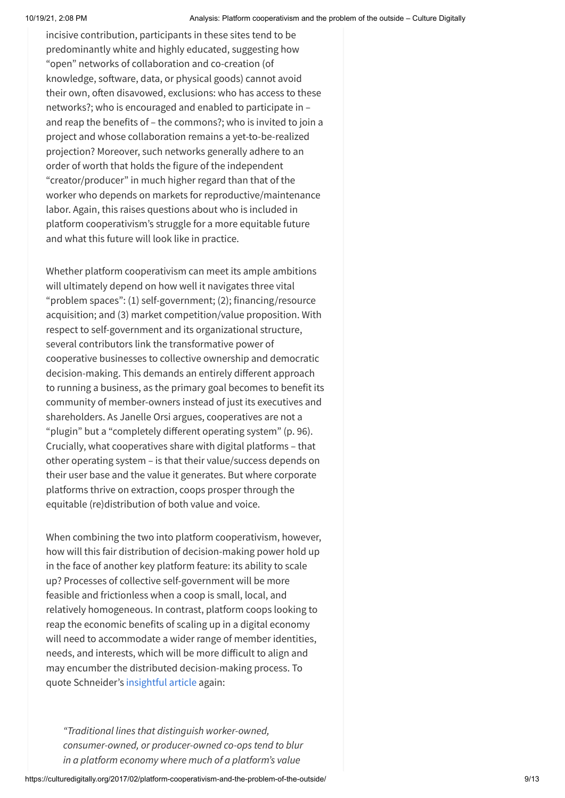incisive contribution, participants in these sites tend to be predominantly white and highly educated, suggesting how "open" networks of collaboration and co-creation (of knowledge, software, data, or physical goods) cannot avoid their own, often disavowed, exclusions: who has access to these networks?; who is encouraged and enabled to participate in – and reap the benefits of – the commons?; who is invited to join a project and whose collaboration remains a yet-to-be-realized projection? Moreover, such networks generally adhere to an order of worth that holds the figure of the independent "creator/producer" in much higher regard than that of the worker who depends on markets for reproductive/maintenance labor. Again, this raises questions about who is included in platform cooperativism's struggle for a more equitable future and what this future will look like in practice.

Whether platform cooperativism can meet its ample ambitions will ultimately depend on how well it navigates three vital "problem spaces": (1) self-government; (2); financing/resource acquisition; and (3) market competition/value proposition. With respect to self-government and its organizational structure, several contributors link the transformative power of cooperative businesses to collective ownership and democratic decision-making. This demands an entirely different approach to running a business, as the primary goal becomes to benefit its community of member-owners instead of just its executives and shareholders. As Janelle Orsi argues, cooperatives are not a "plugin" but a "completely different operating system" (p. 96). Crucially, what cooperatives share with digital platforms – that other operating system – is that their value/success depends on their user base and the value it generates. But where corporate platforms thrive on extraction, coops prosper through the equitable (re)distribution of both value and voice.

When combining the two into platform cooperativism, however, how will this fair distribution of decision-making power hold up in the face of another key platform feature: its ability to scale up? Processes of collective self-government will be more feasible and frictionless when a coop is small, local, and relatively homogeneous. In contrast, platform coops looking to reap the economic benefits of scaling up in a digital economy will need to accommodate a wider range of member identities, needs, and interests, which will be more difficult to align and may encumber the distributed decision-making process. To quote Schneider's [insightful article](https://ioo.coop/2016/09/07/an-internet-of-ownership/) again:

*"Traditional lines that distinguish worker-owned, consumer-owned, or producer-owned co-ops tend to blur in a platform economy where much of a platform's value*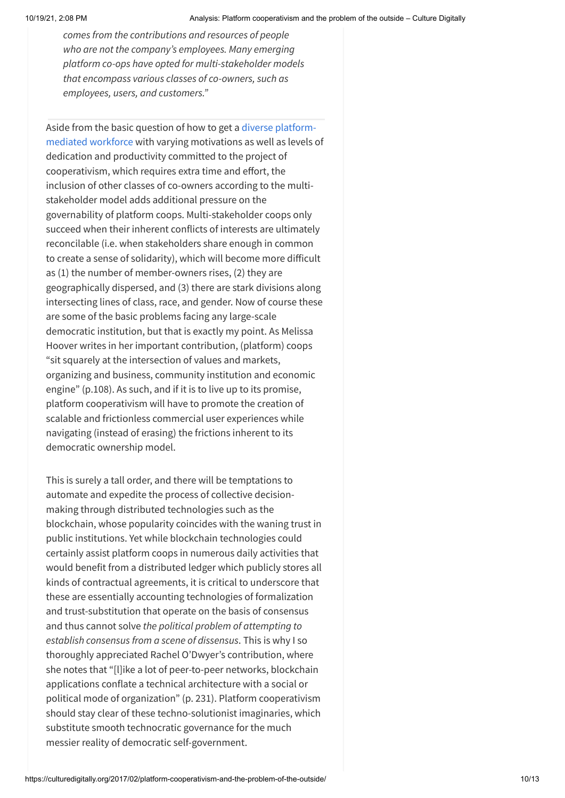*comes from the contributions and resources of people who are not the company's employees. Many emerging platform co-ops have opted for multi-stakeholder models that encompass various classes of co-owners, such as employees, users, and customers."*

Aside from the basic question of how to get a diverse platform[mediated workforce with varying motivations as well as levels o](https://hbr.org/2016/11/what-motivates-gig-economy-workers)f dedication and productivity committed to the project of cooperativism, which requires extra time and effort, the inclusion of other classes of co-owners according to the multistakeholder model adds additional pressure on the governability of platform coops. Multi-stakeholder coops only succeed when their inherent conflicts of interests are ultimately reconcilable (i.e. when stakeholders share enough in common to create a sense of solidarity), which will become more difficult as (1) the number of member-owners rises, (2) they are geographically dispersed, and (3) there are stark divisions along intersecting lines of class, race, and gender. Now of course these are some of the basic problems facing any large-scale democratic institution, but that is exactly my point. As Melissa Hoover writes in her important contribution, (platform) coops "sit squarely at the intersection of values and markets, organizing and business, community institution and economic engine" (p.108). As such, and if it is to live up to its promise, platform cooperativism will have to promote the creation of scalable and frictionless commercial user experiences while navigating (instead of erasing) the frictions inherent to its democratic ownership model.

This is surely a tall order, and there will be temptations to automate and expedite the process of collective decisionmaking through distributed technologies such as the blockchain, whose popularity coincides with the waning trust in public institutions. Yet while blockchain technologies could certainly assist platform coops in numerous daily activities that would benefit from a distributed ledger which publicly stores all kinds of contractual agreements, it is critical to underscore that these are essentially accounting technologies of formalization and trust-substitution that operate on the basis of consensus and thus cannot solve *the political problem of attempting to establish consensus from a scene of dissensus*. This is why I so thoroughly appreciated Rachel O'Dwyer's contribution, where she notes that "[l]ike a lot of peer-to-peer networks, blockchain applications conflate a technical architecture with a social or political mode of organization" (p. 231). Platform cooperativism should stay clear of these techno-solutionist imaginaries, which substitute smooth technocratic governance for the much messier reality of democratic self-government.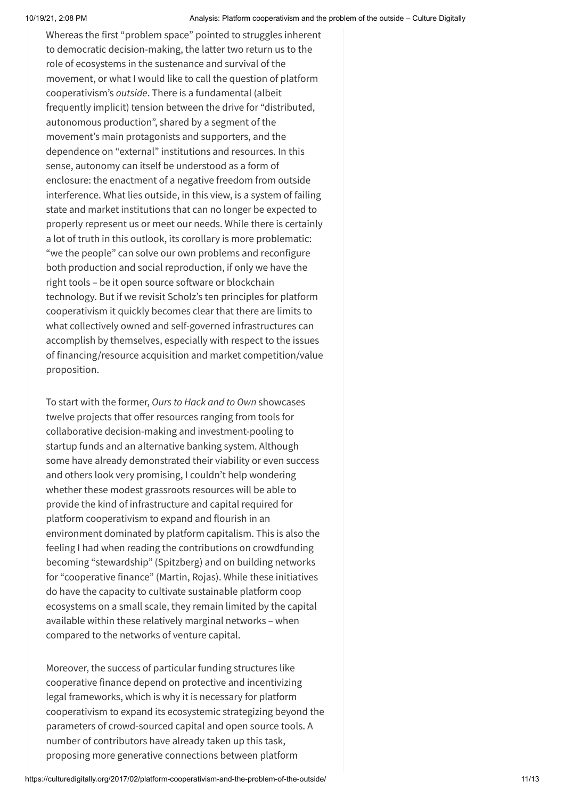Whereas the first "problem space" pointed to struggles inherent to democratic decision-making, the latter two return us to the role of ecosystems in the sustenance and survival of the movement, or what I would like to call the question of platform cooperativism's *outside*. There is a fundamental (albeit frequently implicit) tension between the drive for "distributed, autonomous production", shared by a segment of the movement's main protagonists and supporters, and the dependence on "external" institutions and resources. In this sense, autonomy can itself be understood as a form of enclosure: the enactment of a negative freedom from outside interference. What lies outside, in this view, is a system of failing state and market institutions that can no longer be expected to properly represent us or meet our needs. While there is certainly a lot of truth in this outlook, its corollary is more problematic: "we the people" can solve our own problems and reconfigure both production and social reproduction, if only we have the right tools – be it open source software or blockchain technology. But if we revisit Scholz's ten principles for platform cooperativism it quickly becomes clear that there are limits to what collectively owned and self-governed infrastructures can accomplish by themselves, especially with respect to the issues of financing/resource acquisition and market competition/value proposition.

To start with the former, *Ours to Hack and to Own* showcases twelve projects that offer resources ranging from tools for collaborative decision-making and investment-pooling to startup funds and an alternative banking system. Although some have already demonstrated their viability or even success and others look very promising, I couldn't help wondering whether these modest grassroots resources will be able to provide the kind of infrastructure and capital required for platform cooperativism to expand and flourish in an environment dominated by platform capitalism. This is also the feeling I had when reading the contributions on crowdfunding becoming "stewardship" (Spitzberg) and on building networks for "cooperative finance" (Martin, Rojas). While these initiatives do have the capacity to cultivate sustainable platform coop ecosystems on a small scale, they remain limited by the capital available within these relatively marginal networks – when compared to the networks of venture capital.

Moreover, the success of particular funding structures like cooperative finance depend on protective and incentivizing legal frameworks, which is why it is necessary for platform cooperativism to expand its ecosystemic strategizing beyond the parameters of crowd-sourced capital and open source tools. A number of contributors have already taken up this task, proposing more generative connections between platform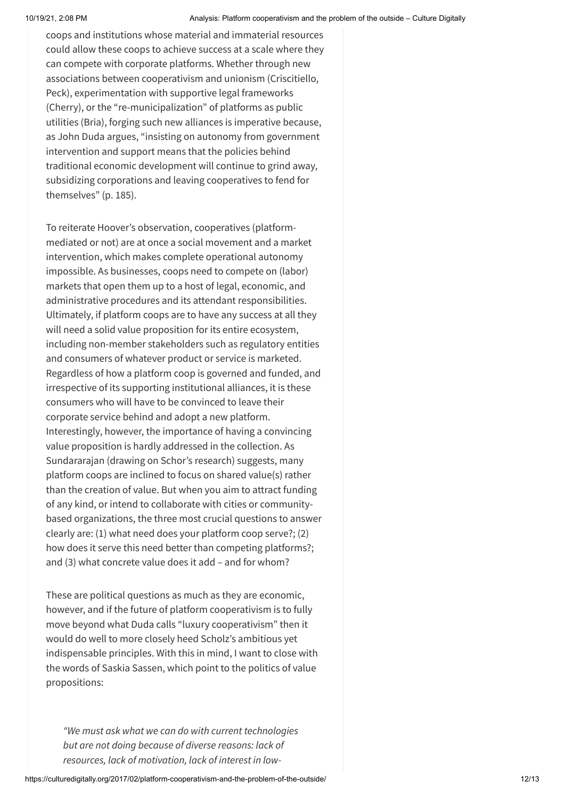coops and institutions whose material and immaterial resources could allow these coops to achieve success at a scale where they can compete with corporate platforms. Whether through new associations between cooperativism and unionism (Criscitiello, Peck), experimentation with supportive legal frameworks (Cherry), or the "re-municipalization" of platforms as public utilities (Bria), forging such new alliances is imperative because, as John Duda argues, "insisting on autonomy from government intervention and support means that the policies behind traditional economic development will continue to grind away, subsidizing corporations and leaving cooperatives to fend for themselves" (p. 185).

To reiterate Hoover's observation, cooperatives (platformmediated or not) are at once a social movement and a market intervention, which makes complete operational autonomy impossible. As businesses, coops need to compete on (labor) markets that open them up to a host of legal, economic, and administrative procedures and its attendant responsibilities. Ultimately, if platform coops are to have any success at all they will need a solid value proposition for its entire ecosystem, including non-member stakeholders such as regulatory entities and consumers of whatever product or service is marketed. Regardless of how a platform coop is governed and funded, and irrespective of its supporting institutional alliances, it is these consumers who will have to be convinced to leave their corporate service behind and adopt a new platform. Interestingly, however, the importance of having a convincing value proposition is hardly addressed in the collection. As Sundararajan (drawing on Schor's research) suggests, many platform coops are inclined to focus on shared value(s) rather than the creation of value. But when you aim to attract funding of any kind, or intend to collaborate with cities or communitybased organizations, the three most crucial questions to answer clearly are: (1) what need does your platform coop serve?; (2) how does it serve this need better than competing platforms?; and (3) what concrete value does it add – and for whom?

These are political questions as much as they are economic, however, and if the future of platform cooperativism is to fully move beyond what Duda calls "luxury cooperativism" then it would do well to more closely heed Scholz's ambitious yet indispensable principles. With this in mind, I want to close with the words of Saskia Sassen, which point to the politics of value propositions:

*"We must ask what we can do with current technologies but are not doing because of diverse reasons: lack of resources, lack of motivation, lack of interest in low-*